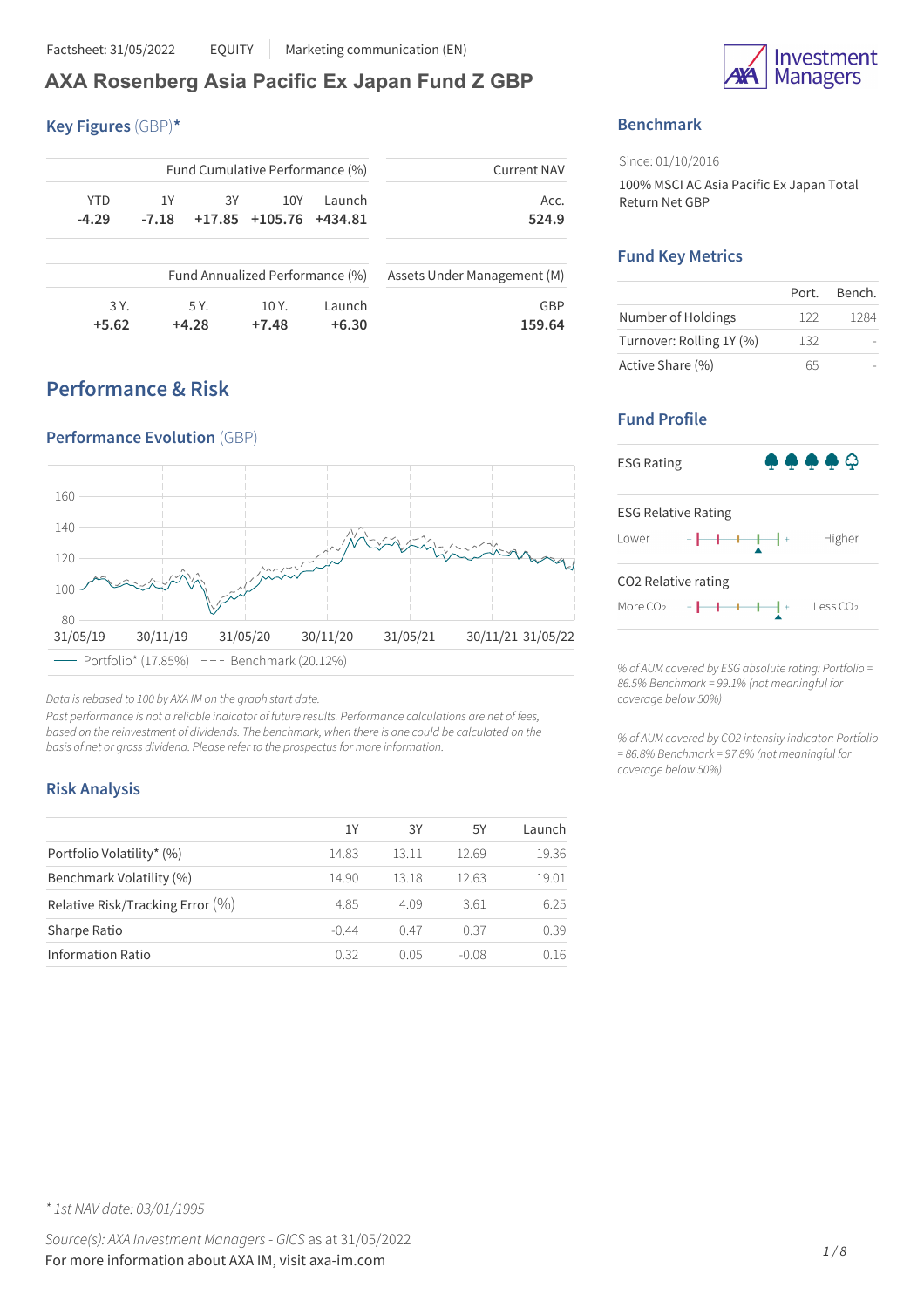# **AXA Rosenberg Asia Pacific Ex Japan Fund Z GBP**

**Key Figures** (GBP)**\***

| <b>Current NAV</b>          |        | Fund Cumulative Performance (%) |      |         |            |
|-----------------------------|--------|---------------------------------|------|---------|------------|
| Acc.                        | Launch | 10Y                             | 3Y   | 1Y      | <b>YTD</b> |
| 524.9                       |        | $+17.85$ $+105.76$ $+434.81$    |      | $-7.18$ | $-4.29$    |
|                             |        | Fund Annualized Performance (%) |      |         |            |
| Assets Under Management (M) |        |                                 |      |         |            |
| GBP                         | Launch | 10 Y.                           | 5 Y. |         | 3 Y.       |

# **Performance & Risk**



*Data isrebased to 100 by AXA IM on the graph start date.*

*Past performance is not a reliable indicator of future results. Performance calculations are net of fees, based on the reinvestment of dividends. The benchmark, when there is one could be calculated on the basis of net or gross dividend. Please refer to the prospectusfor more information.*

### **Risk Analysis**

|                                  | 1Y      | 3Y    | 5Υ      | Launch |
|----------------------------------|---------|-------|---------|--------|
| Portfolio Volatility* (%)        | 14.83   | 13.11 | 12.69   | 19.36  |
| Benchmark Volatility (%)         | 14.90   | 13.18 | 12.63   | 19.01  |
| Relative Risk/Tracking Error (%) | 4.85    | 4.09  | 3.61    | 6.25   |
| Sharpe Ratio                     | $-0.44$ | 0.47  | 0.37    | 0.39   |
| <b>Information Ratio</b>         | 0.32    | O 0.5 | $-0.08$ | 0.16   |



## **Benchmark**

Since: 01/10/2016

100% MSCI AC Asia Pacific Ex Japan Total Return Net GBP

### **Fund Key Metrics**

|                          | Port. | Bench. |
|--------------------------|-------|--------|
| Number of Holdings       | 122   | 1284   |
| Turnover: Rolling 1Y (%) | 132   |        |
| Active Share (%)         | 65    |        |

## **Fund Profile**



*% of AUM covered by ESG absolute rating: Portfolio = 86.5% Benchmark = 99.1% (not meaningful for coverage below 50%)*

*% of AUM covered by CO2 intensity indicator: Portfolio = 86.8% Benchmark = 97.8% (not meaningful for coverage below 50%)*

*\* 1st NAV date: 03/01/1995*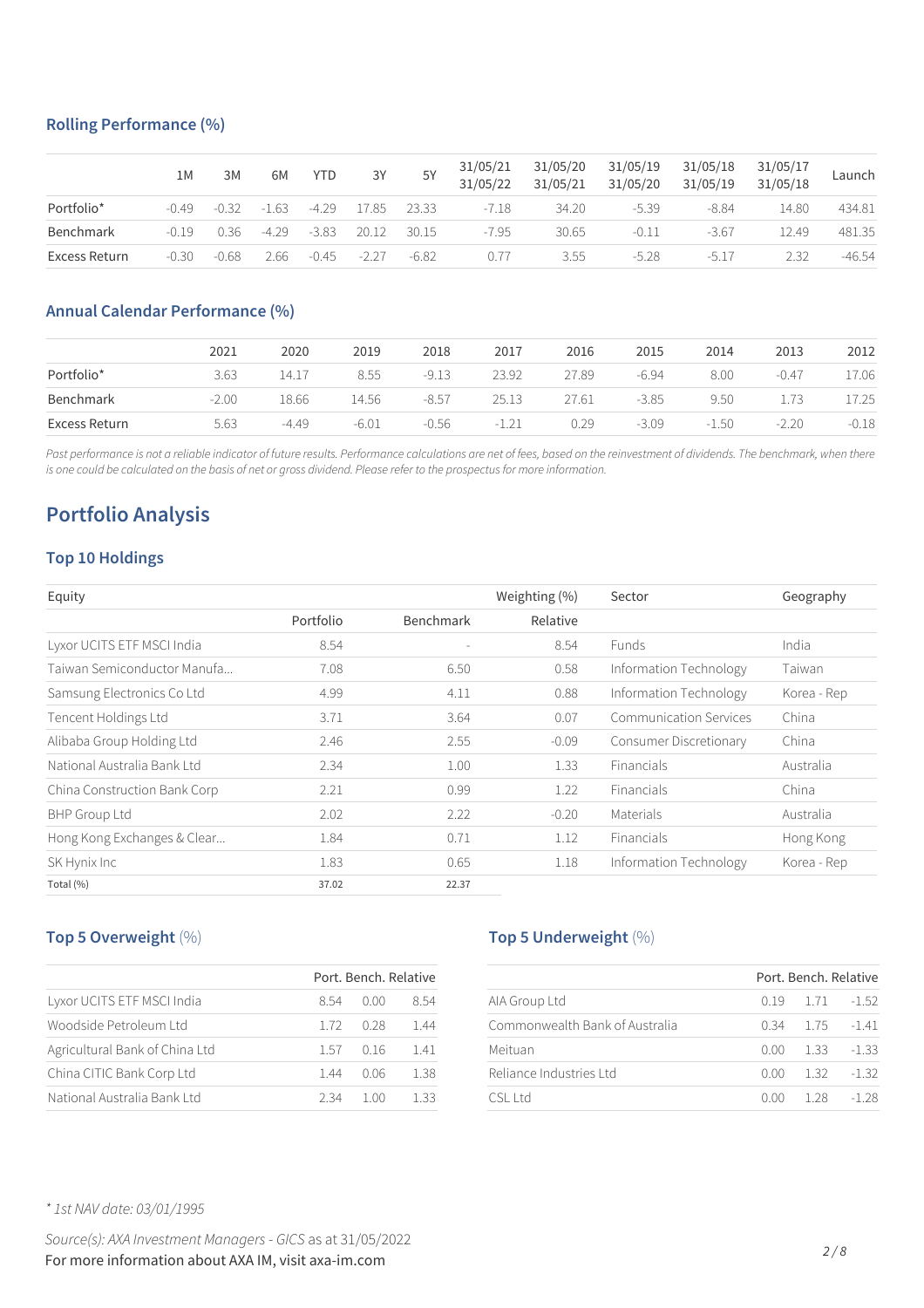### **Rolling Performance (%)**

|               | 1М      | 3M      | 6M      | <b>YTD</b> | 3Y          | 5Y      | 31/05/21<br>31/05/22 | 31/05/20<br>31/05/21 | 31/05/19<br>31/05/20 | 31/05/18<br>31/05/19 | 31/05/17<br>31/05/18 | Launch   |
|---------------|---------|---------|---------|------------|-------------|---------|----------------------|----------------------|----------------------|----------------------|----------------------|----------|
| Portfolio*    | $-0.49$ | $-0.32$ | $-1.63$ | $-4.29$    | 17.85       | 23.33   | $-7.18$              | 34.20                | $-5.39$              | $-8.84$              | 14.80                | 434.81   |
| Benchmark     | $-0.19$ | 0.36    | $-4.29$ | $-3.83$    | 20.12 30.15 |         | $-7.95$              | 30.65                | $-0.11$              | $-3.67$              | 12.49                | 481.35   |
| Excess Return | $-0.30$ | $-0.68$ | 2.66    | $-0.45$    | $-227$      | $-6.82$ | 0.77                 | 3.55                 | $-5.28$              | $-517$               | 2.32                 | $-46.54$ |

### **Annual Calendar Performance (%)**

|               | 2021    | 2020    | 2019    | 2018    | 2017    | 2016  | 2015    | 2014    | 2013    | 2012    |
|---------------|---------|---------|---------|---------|---------|-------|---------|---------|---------|---------|
| Portfolio*    | 3.63    | 14.17   | 8.55    | $-9.13$ | 23.92   | 27.89 | $-6.94$ | 8.00    | $-0.47$ | 17.06   |
| Benchmark     | $-2.00$ | 18.66   | 14.56   | $-8.57$ | 25.13   | 27.61 | $-3.85$ | 9.50    | 1.73    | 17.25   |
| Excess Return | 5.63    | $-4.49$ | $-6.01$ | -0.56   | $-1.21$ | 0.29  | $-3.09$ | $-1.50$ | $-2.20$ | $-0.18$ |

Past performance is not a reliable indicator of future results. Performance calculations are net of fees, based on the reinvestment of dividends. The benchmark, when there is one could be calculated on the basis of net or gross dividend. Please refer to the prospectus for more information.

# **Portfolio Analysis**

#### **Top 10 Holdings**

| Equity                       |           |                  | Weighting (%) | Sector                        | Geography   |
|------------------------------|-----------|------------------|---------------|-------------------------------|-------------|
|                              | Portfolio | <b>Benchmark</b> | Relative      |                               |             |
| Lyxor UCITS ETF MSCI India   | 8.54      |                  | 8.54          | <b>Funds</b>                  | India       |
| Taiwan Semiconductor Manufa  | 7.08      | 6.50             | 0.58          | Information Technology        | Taiwan      |
| Samsung Electronics Co Ltd   | 4.99      | 4.11             | 0.88          | Information Technology        | Korea - Rep |
| Tencent Holdings Ltd         | 3.71      | 3.64             | 0.07          | <b>Communication Services</b> | China       |
| Alibaba Group Holding Ltd    | 2.46      | 2.55             | $-0.09$       | Consumer Discretionary        | China       |
| National Australia Bank Ltd  | 2.34      | 1.00             | 1.33          | <b>Financials</b>             | Australia   |
| China Construction Bank Corp | 2.21      | 0.99             | 1.22          | Financials                    | China       |
| <b>BHP Group Ltd</b>         | 2.02      | 2.22             | $-0.20$       | Materials                     | Australia   |
| Hong Kong Exchanges & Clear  | 1.84      | 0.71             | 1.12          | Financials                    | Hong Kong   |
| SK Hynix Inc                 | 1.83      | 0.65             | 1.18          | Information Technology        | Korea - Rep |
| Total (%)                    | 37.02     | 22.37            |               |                               |             |

## **Top 5 Overweight** (%)

|                                |      | Port, Bench, Relative |      |
|--------------------------------|------|-----------------------|------|
| Lyxor UCITS ETF MSCI India     | 8.54 | 0.OO                  | 8.54 |
| Woodside Petroleum Ltd         | 1.72 | 0.28                  | 144  |
| Agricultural Bank of China Ltd | 1.57 | 0.16                  | 141  |
| China CITIC Bank Corp Ltd      | 144  | 0 0 6                 | 1.38 |
| National Australia Bank Ltd    | 234  | 1 N N                 | 1 33 |

#### **Top 5 Underweight** (%)

|                                |      | Port, Bench, Relative |         |
|--------------------------------|------|-----------------------|---------|
| AIA Group Ltd                  |      | $0.19$ 1.71 $-1.52$   |         |
| Commonwealth Bank of Australia |      | $0.34$ $1.75$ $-1.41$ |         |
| Meituan                        | 0.OO | 1.33                  | $-1.33$ |
| Reliance Industries Ltd        | 0.OO | $1.32 - 1.32$         |         |
| CST1H                          | n nn | 128                   | -1 28   |

*\* 1st NAV date: 03/01/1995*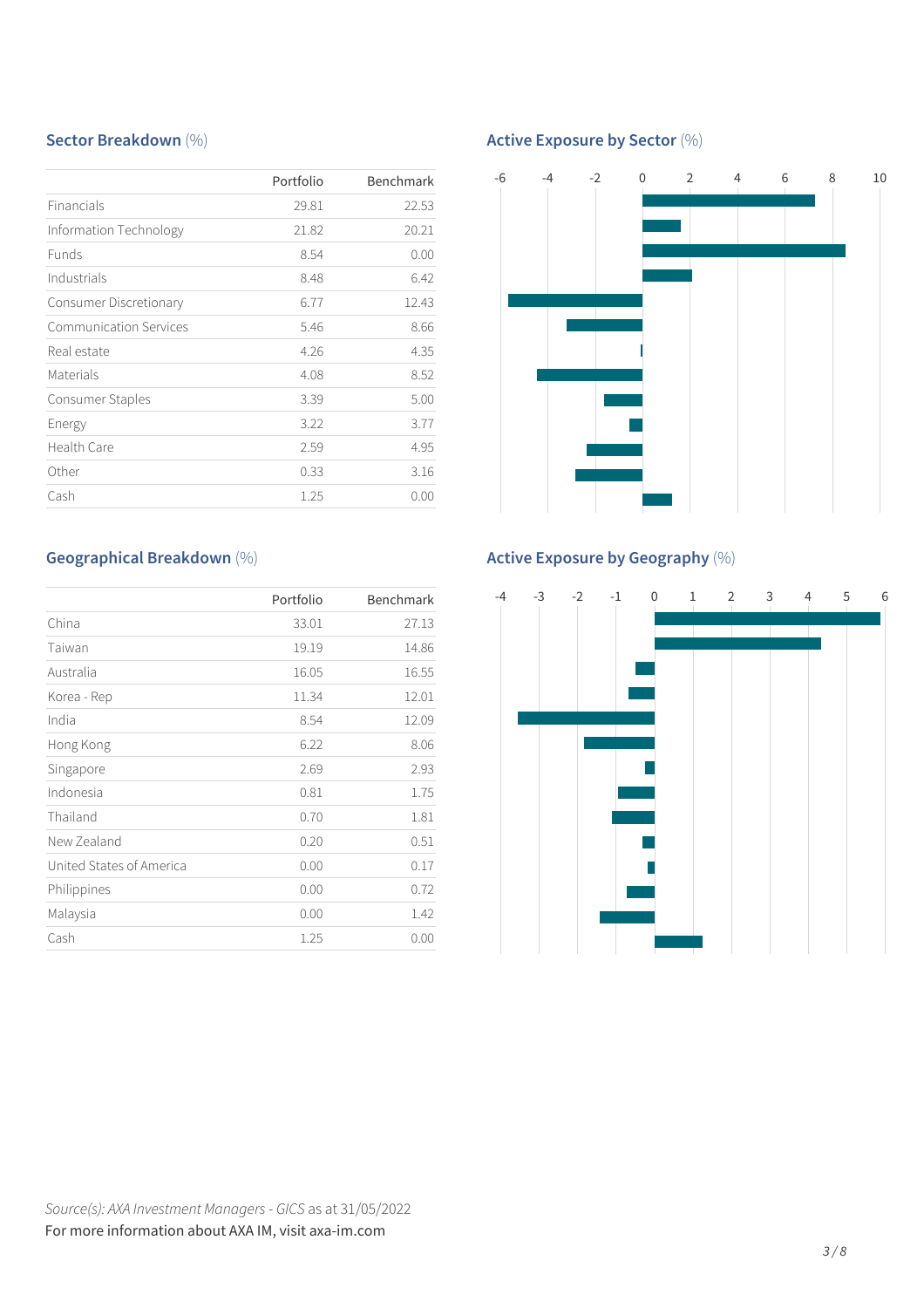### **Sector Breakdown** (%)

|                               | Portfolio | <b>Benchmark</b> |
|-------------------------------|-----------|------------------|
| Financials                    | 29.81     | 22.53            |
| Information Technology        | 21.82     | 20.21            |
| <b>Funds</b>                  | 8.54      | 0.00             |
| Industrials                   | 8.48      | 6.42             |
| Consumer Discretionary        | 6.77      | 12.43            |
| <b>Communication Services</b> | 5.46      | 8.66             |
| Real estate                   | 4.26      | 4.35             |
| Materials                     | 4.08      | 8.52             |
| Consumer Staples              | 3.39      | 5.00             |
| Energy                        | 3.22      | 3.77             |
| Health Care                   | 2.59      | 4.95             |
| Other                         | 0.33      | 3.16             |
| Cash                          | 1.25      | 0.00             |

## **Active Exposure by Sector** (%)



# **Geographical Breakdown** (%)

|                          | Portfolio | Benchmark |
|--------------------------|-----------|-----------|
| China                    | 33.01     | 27.13     |
| Taiwan                   | 19.19     | 14.86     |
| Australia                | 16.05     | 16.55     |
| Korea - Rep              | 11.34     | 12.01     |
| India                    | 8.54      | 12.09     |
| Hong Kong                | 6.22      | 8.06      |
| Singapore                | 2.69      | 2.93      |
| Indonesia                | 0.81      | 1.75      |
| Thailand                 | 0.70      | 1.81      |
| New Zealand              | 0.20      | 0.51      |
| United States of America | 0.00      | 0.17      |
| Philippines              | 0.00      | 0.72      |
| Malaysia                 | 0.00      | 1.42      |
| Cash                     | 1.25      | 0.00      |

# **Active Exposure by Geography** (%)

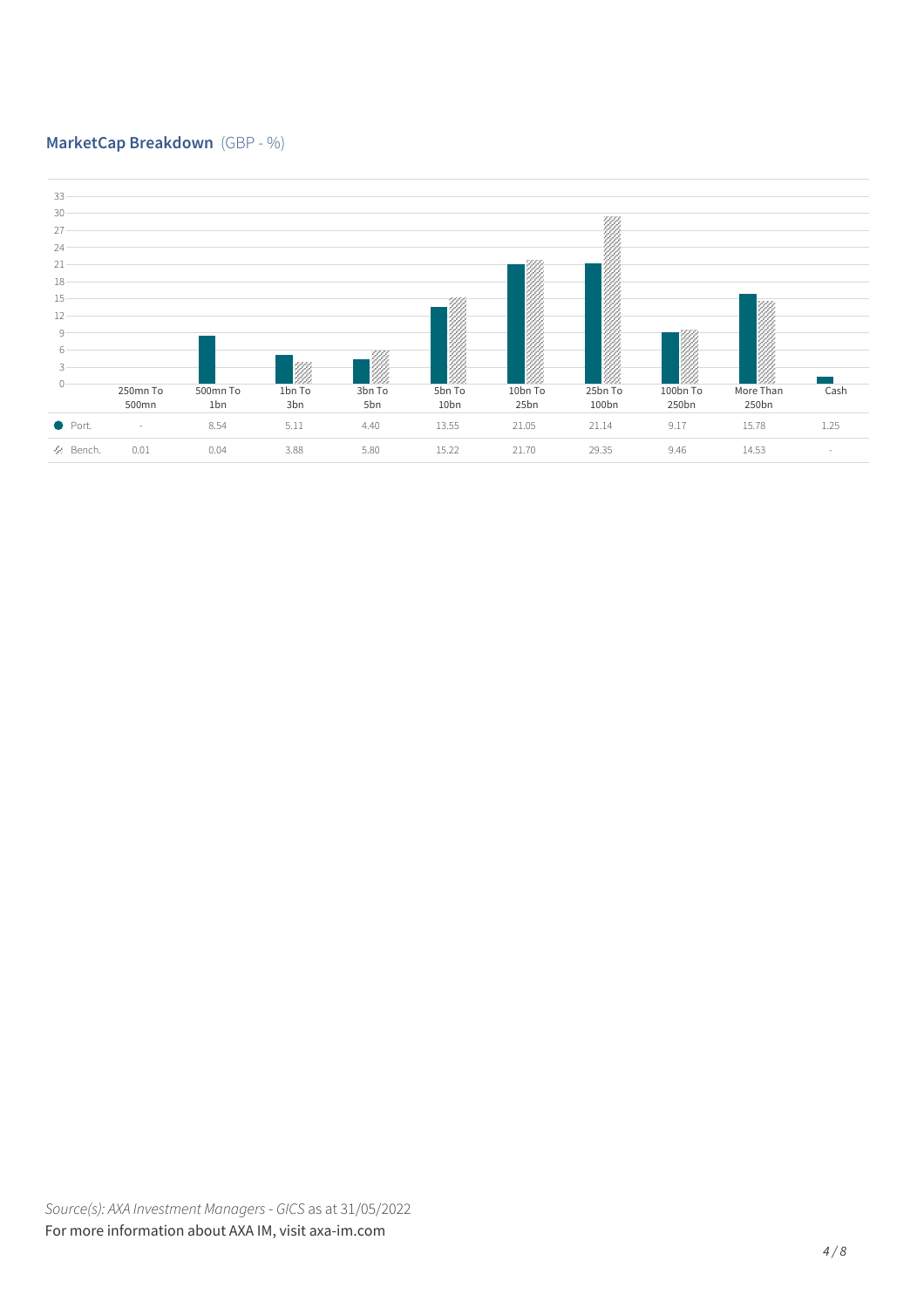### **MarketCap Breakdown** (GBP - %)

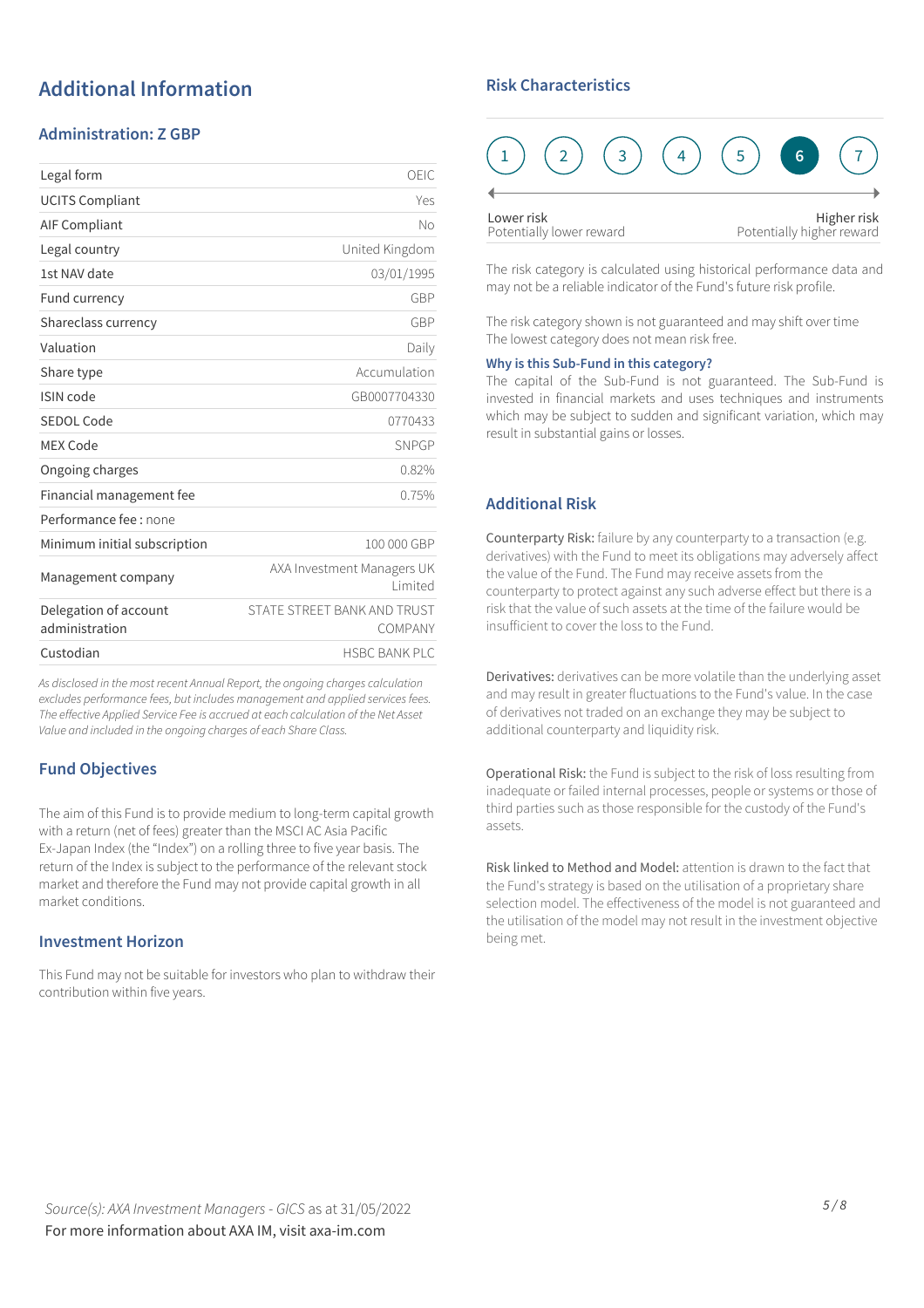# **Additional Information**

#### **Administration: Z GBP**

| Legal form                              | OEIC                                   |
|-----------------------------------------|----------------------------------------|
| <b>UCITS Compliant</b>                  | Yes                                    |
| <b>AIF Compliant</b>                    | No                                     |
| Legal country                           | United Kingdom                         |
| 1st NAV date                            | 03/01/1995                             |
| Fund currency                           | GBP                                    |
| Shareclass currency                     | GBP                                    |
| Valuation                               | Daily                                  |
| Share type                              | Accumulation                           |
| ISIN code                               | GB0007704330                           |
| SEDOL Code                              | 0770433                                |
| <b>MEX Code</b>                         | SNPGP                                  |
| Ongoing charges                         | 0.82%                                  |
| Financial management fee                | 0.75%                                  |
| Performance fee : none                  |                                        |
| Minimum initial subscription            | 100 000 GBP                            |
| Management company                      | AXA Investment Managers UK<br>Limited  |
| Delegation of account<br>administration | STATE STREET BANK AND TRUST<br>COMPANY |
| Custodian                               | <b>HSBC BANK PLC</b>                   |

*As disclosed in the most recent Annual Report, the ongoing charges calculation excludes performance fees, but includes management and applied servicesfees. The effective Applied Service Fee is accrued at each calculation of the Net Asset Value and included in the ongoing charges of each Share Class.*

#### **Fund Objectives**

The aim of this Fund is to provide medium to long-term capital growth with a return (net of fees) greater than the MSCI AC Asia Pacific Ex-Japan Index (the "Index") on a rolling three to five year basis. The return of the Index is subject to the performance of the relevant stock market and therefore the Fund may not provide capital growth in all market conditions.

#### **Investment Horizon**

This Fund may not be suitable for investors who plan to withdraw their contribution within five years.

### **Risk Characteristics**



The risk category is calculated using historical performance data and may not be a reliable indicator of the Fund's future risk profile.

The risk category shown is not guaranteed and may shift over time The lowest category does not mean risk free.

#### **Why is this Sub-Fund in this category?**

The capital of the Sub-Fund is not guaranteed. The Sub-Fund is invested in financial markets and uses techniques and instruments which may be subject to sudden and significant variation, which may result in substantial gains or losses.

#### **Additional Risk**

Counterparty Risk: failure by any counterparty to a transaction (e.g. derivatives) with the Fund to meet its obligations may adversely affect the value of the Fund. The Fund may receive assets from the counterparty to protect against any such adverse effect but there is a risk that the value of such assets at the time of the failure would be insufficient to cover the loss to the Fund.

Derivatives: derivatives can be more volatile than the underlying asset and may result in greater fluctuations to the Fund's value. In the case of derivatives not traded on an exchange they may be subject to additional counterparty and liquidity risk.

Operational Risk: the Fund is subject to the risk of loss resulting from inadequate or failed internal processes, people or systems or those of third parties such as those responsible for the custody of the Fund's assets.

Risk linked to Method and Model: attention is drawn to the fact that the Fund's strategy is based on the utilisation of a proprietary share selection model. The effectiveness of the model is not guaranteed and the utilisation of the model may not result in the investment objective being met.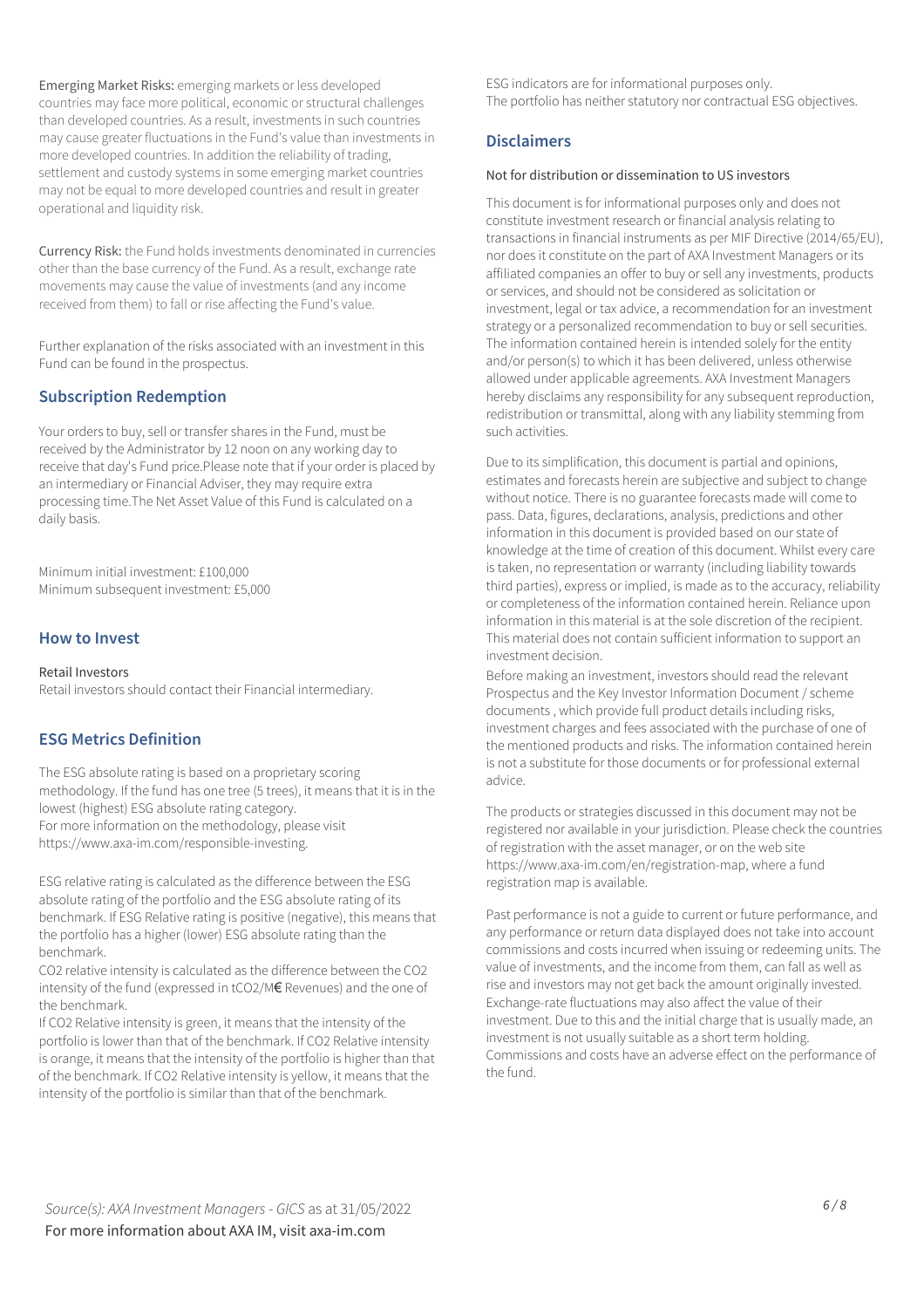Emerging Market Risks: emerging markets or less developed countries may face more political, economic or structural challenges than developed countries. As a result, investments in such countries may cause greater fluctuations in the Fund's value than investments in more developed countries. In addition the reliability of trading, settlement and custody systems in some emerging market countries may not be equal to more developed countries and result in greater operational and liquidity risk.

Currency Risk: the Fund holds investments denominated in currencies other than the base currency of the Fund. As a result, exchange rate movements may cause the value of investments (and any income received from them) to fall or rise affecting the Fund's value.

Further explanation of the risks associated with an investment in this Fund can be found in the prospectus.

### **Subscription Redemption**

Your orders to buy, sell or transfer shares in the Fund, must be received by the Administrator by 12 noon on any working day to receive that day's Fund price.Please note that if your order is placed by an intermediary or Financial Adviser, they may require extra processing time.The Net Asset Value of this Fund is calculated on a daily basis.

Minimum initial investment: £100,000 Minimum subsequent investment: £5,000

#### **How to Invest**

#### Retail Investors

Retail investors should contact their Financial intermediary.

#### **ESG Metrics Definition**

The ESG absolute rating is based on a proprietary scoring methodology. If the fund has one tree (5 trees), it means that it is in the lowest (highest) ESG absolute rating category. For more information on the methodology, please visit https://www.axa-im.com/responsible-investing.

ESG relative rating is calculated as the difference between the ESG absolute rating of the portfolio and the ESG absolute rating of its benchmark. If ESG Relative rating is positive (negative), this means that the portfolio has a higher (lower) ESG absolute rating than the benchmark.

CO2 relative intensity is calculated as the difference between the CO2 intensity of the fund (expressed in tCO2/M€ Revenues) and the one of the benchmark.

If CO2 Relative intensity is green, it means that the intensity of the portfolio is lower than that of the benchmark. If CO2 Relative intensity is orange, it means that the intensity of the portfolio is higher than that of the benchmark. If CO2 Relative intensity is yellow, it means that the intensity of the portfolio is similar than that of the benchmark.

ESG indicators are for informational purposes only. The portfolio has neither statutory nor contractual ESG objectives.

#### **Disclaimers**

#### Not for distribution or dissemination to US investors

This document is for informational purposes only and does not constitute investment research or financial analysis relating to transactions in financial instruments as per MIF Directive (2014/65/EU), nor does it constitute on the part of AXA Investment Managers or its affiliated companies an offer to buy or sell any investments, products or services, and should not be considered as solicitation or investment, legal or tax advice, a recommendation for an investment strategy or a personalized recommendation to buy or sell securities. The information contained herein is intended solely for the entity and/or person(s) to which it has been delivered, unless otherwise allowed under applicable agreements. AXA Investment Managers hereby disclaims any responsibility for any subsequent reproduction, redistribution or transmittal, along with any liability stemming from such activities.

Due to its simplification, this document is partial and opinions, estimates and forecasts herein are subjective and subject to change without notice. There is no guarantee forecasts made will come to pass. Data, figures, declarations, analysis, predictions and other information in this document is provided based on our state of knowledge at the time of creation of this document. Whilst every care is taken, no representation or warranty (including liability towards third parties), express or implied, is made as to the accuracy, reliability or completeness of the information contained herein. Reliance upon information in this material is at the sole discretion of the recipient. This material does not contain sufficient information to support an investment decision.

Before making an investment, investors should read the relevant Prospectus and the Key Investor Information Document / scheme documents , which provide full product details including risks, investment charges and fees associated with the purchase of one of the mentioned products and risks. The information contained herein is not a substitute for those documents or for professional external advice.

The products or strategies discussed in this document may not be registered nor available in your jurisdiction. Please check the countries of registration with the asset manager, or on the web site https://www.axa-im.com/en/registration-map, where a fund registration map is available.

Past performance is not a guide to current or future performance, and any performance or return data displayed does not take into account commissions and costs incurred when issuing or redeeming units. The value of investments, and the income from them, can fall as well as rise and investors may not get back the amount originally invested. Exchange-rate fluctuations may also affect the value of their investment. Due to this and the initial charge that is usually made, an investment is not usually suitable as a short term holding. Commissions and costs have an adverse effect on the performance of the fund.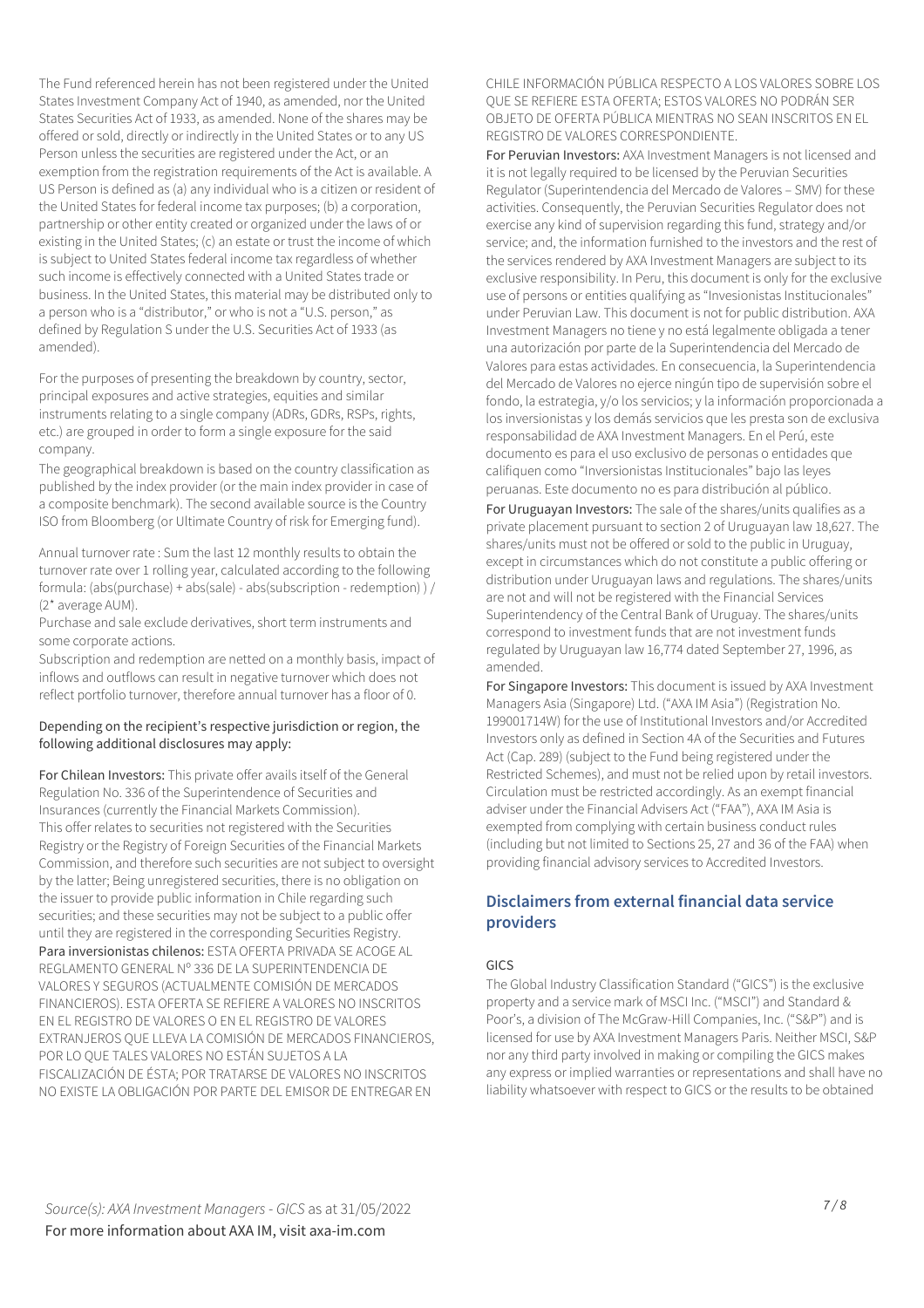The Fund referenced herein has not been registered under the United States Investment Company Act of 1940, as amended, nor the United States Securities Act of 1933, as amended. None of the shares may be offered or sold, directly or indirectly in the United States or to any US Person unless the securities are registered under the Act, or an exemption from the registration requirements of the Act is available. A US Person is defined as (a) any individual who is a citizen or resident of the United States for federal income tax purposes; (b) a corporation, partnership or other entity created or organized under the laws of or existing in the United States; (c) an estate or trust the income of which is subject to United States federal income tax regardless of whether such income is effectively connected with a United States trade or business. In the United States, this material may be distributed only to a person who is a "distributor," or who is not a "U.S. person," as defined by Regulation S under the U.S. Securities Act of 1933 (as amended).

For the purposes of presenting the breakdown by country, sector, principal exposures and active strategies, equities and similar instruments relating to a single company (ADRs, GDRs, RSPs, rights, etc.) are grouped in order to form a single exposure for the said company.

The geographical breakdown is based on the country classification as published by the index provider (or the main index provider in case of a composite benchmark). The second available source is the Country ISO from Bloomberg (or Ultimate Country of risk for Emerging fund).

Annual turnover rate : Sum the last 12 monthly results to obtain the turnover rate over 1 rolling year, calculated according to the following formula: (abs(purchase) + abs(sale) - abs(subscription - redemption) ) / (2\* average AUM).

Purchase and sale exclude derivatives, short term instruments and some corporate actions.

Subscription and redemption are netted on a monthly basis, impact of inflows and outflows can result in negative turnover which does not reflect portfolio turnover, therefore annual turnover has a floor of 0.

#### Depending on the recipient's respective jurisdiction or region, the following additional disclosures may apply:

For Chilean Investors: This private offer avails itself of the General Regulation No. 336 of the Superintendence of Securities and Insurances (currently the Financial Markets Commission). This offer relates to securities not registered with the Securities Registry or the Registry of Foreign Securities of the Financial Markets Commission, and therefore such securities are not subject to oversight by the latter; Being unregistered securities, there is no obligation on the issuer to provide public information in Chile regarding such securities; and these securities may not be subject to a public offer until they are registered in the corresponding Securities Registry. Para inversionistas chilenos: ESTA OFERTA PRIVADA SE ACOGE AL REGLAMENTO GENERAL Nº 336 DE LA SUPERINTENDENCIA DE VALORES Y SEGUROS (ACTUALMENTE COMISIÓN DE MERCADOS FINANCIEROS). ESTA OFERTA SE REFIERE A VALORES NO INSCRITOS EN EL REGISTRO DE VALORES O EN EL REGISTRO DE VALORES EXTRANJEROS QUE LLEVA LA COMISIÓN DE MERCADOS FINANCIEROS, POR LO QUE TALES VALORES NO ESTÁN SUJETOS A LA FISCALIZACIÓN DE ÉSTA; POR TRATARSE DE VALORES NO INSCRITOS NO EXISTE LA OBLIGACIÓN POR PARTE DEL EMISOR DE ENTREGAR EN

CHILE INFORMACIÓN PÚBLICA RESPECTO A LOS VALORES SOBRE LOS QUE SE REFIERE ESTA OFERTA; ESTOS VALORES NO PODRÁN SER OBJETO DE OFERTA PÚBLICA MIENTRAS NO SEAN INSCRITOS EN EL REGISTRO DE VALORES CORRESPONDIENTE.

For Peruvian Investors: AXA Investment Managers is not licensed and it is not legally required to be licensed by the Peruvian Securities Regulator (Superintendencia del Mercado de Valores – SMV) for these activities. Consequently, the Peruvian Securities Regulator does not exercise any kind of supervision regarding this fund, strategy and/or service; and, the information furnished to the investors and the rest of the services rendered by AXA Investment Managers are subject to its exclusive responsibility. In Peru, this document is only for the exclusive use of persons or entities qualifying as "Invesionistas Institucionales" under Peruvian Law. This document is not for public distribution. AXA Investment Managers no tiene y no está legalmente obligada a tener una autorización por parte de la Superintendencia del Mercado de Valores para estas actividades. En consecuencia, la Superintendencia del Mercado de Valores no ejerce ningún tipo de supervisión sobre el fondo, la estrategia, y/o los servicios; y la información proporcionada a los inversionistas y los demás servicios que les presta son de exclusiva responsabilidad de AXA Investment Managers. En el Perú, este documento es para el uso exclusivo de personas o entidades que califiquen como "Inversionistas Institucionales" bajo las leyes peruanas. Este documento no es para distribución al público.

For Uruguayan Investors: The sale of the shares/units qualifies as a private placement pursuant to section 2 of Uruguayan law 18,627. The shares/units must not be offered or sold to the public in Uruguay, except in circumstances which do not constitute a public offering or distribution under Uruguayan laws and regulations. The shares/units are not and will not be registered with the Financial Services Superintendency of the Central Bank of Uruguay. The shares/units correspond to investment funds that are not investment funds regulated by Uruguayan law 16,774 dated September 27, 1996, as amended.

For Singapore Investors: This document is issued by AXA Investment Managers Asia (Singapore) Ltd. ("AXA IM Asia") (Registration No. 199001714W) for the use of Institutional Investors and/or Accredited Investors only as defined in Section 4A of the Securities and Futures Act (Cap. 289) (subject to the Fund being registered under the Restricted Schemes), and must not be relied upon by retail investors. Circulation must be restricted accordingly. As an exempt financial adviser under the Financial Advisers Act ("FAA"), AXA IM Asia is exempted from complying with certain business conduct rules (including but not limited to Sections 25, 27 and 36 of the FAA) when providing financial advisory services to Accredited Investors.

#### **Disclaimers from external financial data service providers**

#### GICS

The Global Industry Classification Standard ("GICS") is the exclusive property and a service mark of MSCI Inc. ("MSCI") and Standard & Poor's, a division of The McGraw-Hill Companies, Inc. ("S&P") and is licensed for use by AXA Investment Managers Paris. Neither MSCI, S&P nor any third party involved in making or compiling the GICS makes any express or implied warranties or representations and shall have no liability whatsoever with respect to GICS or the results to be obtained